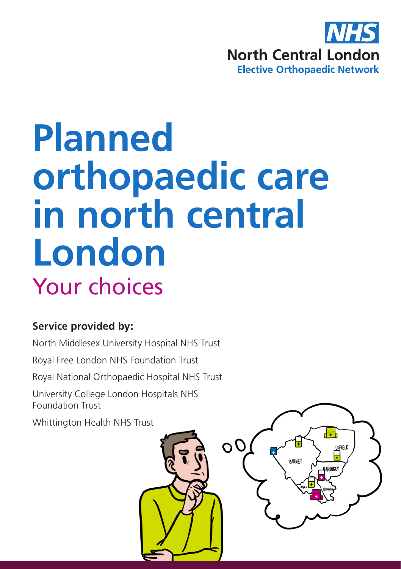

# **Planned orthopaedic care in north central London** Your choices

#### **Service provided by:**

North Middlesex University Hospital NHS Trust

Royal Free London NHS Foundation Trust

Royal National Orthopaedic Hospital NHS Trust

University College London Hospitals NHS Foundation Trust

Whittington Health NHS Trust

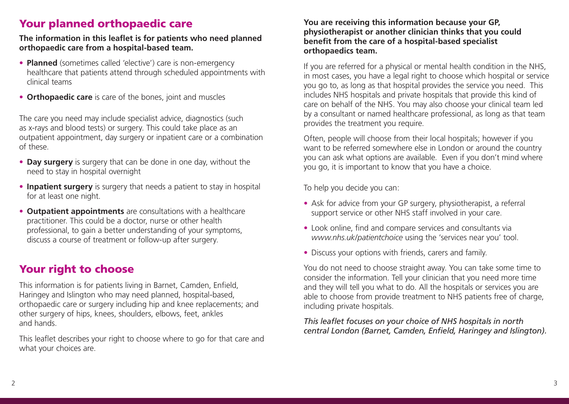## Your planned orthopaedic care

#### **The information in this leaflet is for patients who need planned orthopaedic care from a hospital-based team.**

- **Planned** (sometimes called 'elective') care is non-emergency healthcare that patients attend through scheduled appointments with clinical teams
- **Orthopaedic care** is care of the bones, joint and muscles

The care you need may include specialist advice, diagnostics (such as x-rays and blood tests) or surgery. This could take place as an outpatient appointment, day surgery or inpatient care or a combination of these.

- **Day surgery** is surgery that can be done in one day, without the need to stay in hospital overnight
- **Inpatient surgery** is surgery that needs a patient to stay in hospital for at least one night.
- **Outpatient appointments** are consultations with a healthcare practitioner. This could be a doctor, nurse or other health professional, to gain a better understanding of your symptoms, discuss a course of treatment or follow-up after surgery.

## Your right to choose

This information is for patients living in Barnet, Camden, Enfield, Haringey and Islington who may need planned, hospital-based, orthopaedic care or surgery including hip and knee replacements; and other surgery of hips, knees, shoulders, elbows, feet, ankles and hands.

This leaflet describes your right to choose where to go for that care and what your choices are.

#### **You are receiving this information because your GP, physiotherapist or another clinician thinks that you could benefit from the care of a hospital-based specialist orthopaedics team.**

If you are referred for a physical or mental health condition in the NHS, in most cases, you have a legal right to choose which hospital or service you go to, as long as that hospital provides the service you need. This includes NHS hospitals and private hospitals that provide this kind of care on behalf of the NHS. You may also choose your clinical team led by a consultant or named healthcare professional, as long as that team provides the treatment you require.

Often, people will choose from their local hospitals; however if you want to be referred somewhere else in London or around the country you can ask what options are available. Even if you don't mind where you go, it is important to know that you have a choice.

To help you decide you can:

- Ask for advice from your GP surgery, physiotherapist, a referral support service or other NHS staff involved in your care.
- Look online, find and compare services and consultants via *www.nhs.uk/patientchoice* using the 'services near you' tool.
- Discuss your options with friends, carers and family.

You do not need to choose straight away. You can take some time to consider the information. Tell your clinician that you need more time and they will tell you what to do. All the hospitals or services you are able to choose from provide treatment to NHS patients free of charge, including private hospitals.

*This leaflet focuses on your choice of NHS hospitals in north central London (Barnet, Camden, Enfield, Haringey and Islington).*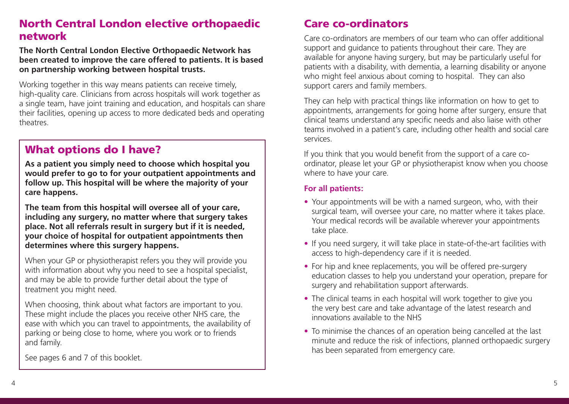## North Central London elective orthopaedic network

**The North Central London Elective Orthopaedic Network has been created to improve the care offered to patients. It is based on partnership working between hospital trusts.** 

Working together in this way means patients can receive timely, high-quality care. Clinicians from across hospitals will work together as a single team, have joint training and education, and hospitals can share their facilities, opening up access to more dedicated beds and operating theatres.

### What options do I have?

**As a patient you simply need to choose which hospital you would prefer to go to for your outpatient appointments and follow up. This hospital will be where the majority of your care happens.** 

**The team from this hospital will oversee all of your care, including any surgery, no matter where that surgery takes place. Not all referrals result in surgery but if it is needed, your choice of hospital for outpatient appointments then determines where this surgery happens.**

When your GP or physiotherapist refers you they will provide you with information about why you need to see a hospital specialist, and may be able to provide further detail about the type of treatment you might need.

When choosing, think about what factors are important to you. These might include the places you receive other NHS care, the ease with which you can travel to appointments, the availability of parking or being close to home, where you work or to friends and family.

See pages 6 and 7 of this booklet.

## Care co-ordinators

Care co-ordinators are members of our team who can offer additional support and guidance to patients throughout their care. They are available for anyone having surgery, but may be particularly useful for patients with a disability, with dementia, a learning disability or anyone who might feel anxious about coming to hospital. They can also support carers and family members.

They can help with practical things like information on how to get to appointments, arrangements for going home after surgery, ensure that clinical teams understand any specific needs and also liaise with other teams involved in a patient's care, including other health and social care services.

If you think that you would benefit from the support of a care coordinator, please let your GP or physiotherapist know when you choose where to have your care.

#### **For all patients:**

- Your appointments will be with a named surgeon, who, with their surgical team, will oversee your care, no matter where it takes place. Your medical records will be available wherever your appointments take place.
- If you need surgery, it will take place in state-of-the-art facilities with access to high-dependency care if it is needed.
- For hip and knee replacements, you will be offered pre-surgery education classes to help you understand your operation, prepare for surgery and rehabilitation support afterwards.
- The clinical teams in each hospital will work together to give you the very best care and take advantage of the latest research and innovations available to the NHS
- To minimise the chances of an operation being cancelled at the last minute and reduce the risk of infections, planned orthopaedic surgery has been separated from emergency care.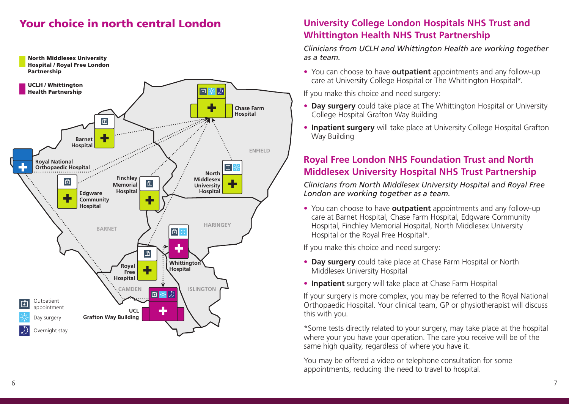## Your choice in north central London



## **University College London Hospitals NHS Trust and Whittington Health NHS Trust Partnership**

*Clinicians from UCLH and Whittington Health are working together as a team.* 

• You can choose to have **outpatient** appointments and any follow-up care at University College Hospital or The Whittington Hospital\*.

If you make this choice and need surgery:

- **Day surgery** could take place at The Whittington Hospital or University College Hospital Grafton Way Building
- **Inpatient surgery** will take place at University College Hospital Grafton Way Building

## **Royal Free London NHS Foundation Trust and North Middlesex University Hospital NHS Trust Partnership**

*Clinicians from North Middlesex University Hospital and Royal Free London are working together as a team.*

• You can choose to have **outpatient** appointments and any follow-up care at Barnet Hospital, Chase Farm Hospital, Edgware Community Hospital, Finchley Memorial Hospital, North Middlesex University Hospital or the Royal Free Hospital\*.

If you make this choice and need surgery:

- **Day surgery** could take place at Chase Farm Hospital or North Middlesex University Hospital
- **Inpatient** surgery will take place at Chase Farm Hospital

If your surgery is more complex, you may be referred to the Royal National Orthopaedic Hospital. Your clinical team, GP or physiotherapist will discuss this with you.

\*Some tests directly related to your surgery, may take place at the hospital where your you have your operation. The care you receive will be of the same high quality, regardless of where you have it.

You may be offered a video or telephone consultation for some appointments, reducing the need to travel to hospital.